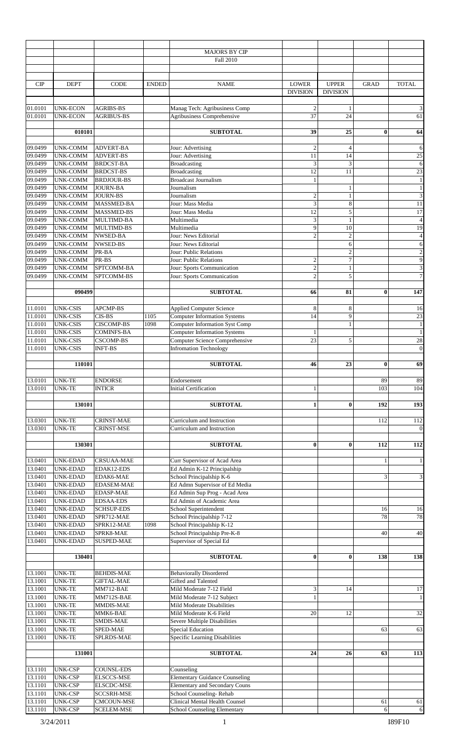|                    |                                    |                                        |              | <b>MAJORS BY CIP</b>                                        |                                         |                                 |              |                                         |
|--------------------|------------------------------------|----------------------------------------|--------------|-------------------------------------------------------------|-----------------------------------------|---------------------------------|--------------|-----------------------------------------|
|                    |                                    |                                        |              | Fall 2010                                                   |                                         |                                 |              |                                         |
|                    |                                    |                                        |              |                                                             |                                         |                                 |              |                                         |
| CIP                | <b>DEPT</b>                        | <b>CODE</b>                            | <b>ENDED</b> | <b>NAME</b>                                                 | <b>LOWER</b><br><b>DIVISION</b>         | <b>UPPER</b><br><b>DIVISION</b> | <b>GRAD</b>  | <b>TOTAL</b>                            |
| 01.0101<br>01.0101 | <b>UNK-ECON</b><br><b>UNK-ECON</b> | <b>AGRIBS-BS</b><br><b>AGRIBUS-BS</b>  |              | Manag Tech: Agribusiness Comp<br>Agribusiness Comprehensive | $\overline{c}$<br>37                    | 24                              |              | 3<br>61                                 |
|                    | 010101                             |                                        |              | <b>SUBTOTAL</b>                                             | 39                                      | 25                              | $\bf{0}$     | 64                                      |
|                    |                                    |                                        |              |                                                             |                                         |                                 |              |                                         |
| 09.0499<br>09.0499 | <b>UNK-COMM</b><br><b>UNK-COMM</b> | <b>ADVERT-BA</b><br><b>ADVERT-BS</b>   |              | Jour: Advertising<br>Jour: Advertising                      | $\overline{2}$<br>11                    | $\overline{4}$<br>14            |              | 6<br>$\overline{25}$                    |
| 09.0499            | <b>UNK-COMM</b>                    | <b>BRDCST-BA</b>                       |              | <b>Broadcasting</b>                                         | 3                                       | 3                               |              | $\sqrt{6}$                              |
| 09.0499            | <b>UNK-COMM</b>                    | <b>BRDCST-BS</b>                       |              | <b>Broadcasting</b>                                         | $\overline{12}$                         | 11                              |              | 23                                      |
| 09.0499            | <b>UNK-COMM</b>                    | <b>BRDJOUR-BS</b>                      |              | <b>Broadcast Journalism</b>                                 | $\mathbf{1}$                            |                                 |              | $1\,$                                   |
| 09.0499<br>09.0499 | <b>UNK-COMM</b>                    | <b>JOURN-BA</b><br><b>JOURN-BS</b>     |              | Journalism<br>Journalism                                    |                                         | 1<br>1                          |              | $\mathbf{1}$<br>$\overline{\mathbf{3}}$ |
| 09.0499            | <b>UNK-COMM</b><br><b>UNK-COMM</b> | MASSMED-BA                             |              | Jour: Mass Media                                            | $\mathbf{2}$<br>$\overline{\mathbf{3}}$ | 8                               |              | 11                                      |
| 09.0499            | <b>UNK-COMM</b>                    | <b>MASSMED-BS</b>                      |              | Jour: Mass Media                                            | 12                                      | 5                               |              | $\overline{17}$                         |
| 09.0499            | <b>UNK-COMM</b>                    | MULTIMD-BA                             |              | Multimedia                                                  | 3                                       | $\mathbf{1}$                    |              | $\overline{\mathbf{4}}$                 |
| 09.0499            | <b>UNK-COMM</b>                    | <b>MULTIMD-BS</b>                      |              | Multimedia                                                  | 9                                       | 10                              |              | 19                                      |
| 09.0499<br>09.0499 | <b>UNK-COMM</b>                    | <b>NWSED-BA</b><br><b>NWSED-BS</b>     |              | Jour: News Editorial<br>Jour: News Editorial                | $\overline{2}$                          | $\overline{c}$                  |              | $\overline{\mathcal{L}}$<br>$\sqrt{6}$  |
| 09.0499            | <b>UNK-COMM</b><br><b>UNK-COMM</b> | PR-BA                                  |              | Jour: Public Relations                                      |                                         | 6<br>$\mathfrak{2}$             |              | $\overline{c}$                          |
| 09.0499            | <b>UNK-COMM</b>                    | PR-BS                                  |              | Jour: Public Relations                                      | $\sqrt{2}$                              | $\overline{7}$                  |              | $\overline{9}$                          |
| 09.0499            | <b>UNK-COMM</b>                    | SPTCOMM-BA                             |              | Jour: Sports Communication                                  | $\overline{2}$                          | $\mathbf{1}$                    |              | $\overline{\mathbf{3}}$                 |
| 09.0499            | <b>UNK-COMM</b>                    | SPTCOMM-BS                             |              | Jour: Sports Communication                                  | $\overline{2}$                          | 5                               |              | $\overline{7}$                          |
|                    |                                    |                                        |              |                                                             |                                         |                                 |              |                                         |
|                    | 090499                             |                                        |              | <b>SUBTOTAL</b>                                             | 66                                      | 81                              | $\bf{0}$     | 147                                     |
| 11.0101            | <b>UNK-CSIS</b>                    | <b>APCMP-BS</b>                        |              | <b>Applied Computer Science</b>                             | 8                                       | 8                               |              | 16                                      |
| 11.0101            | <b>UNK-CSIS</b>                    | CIS-BS                                 | 1105         | <b>Computer Information Systems</b>                         | 14                                      | 9                               |              | 23                                      |
| 11.0101            | <b>UNK-CSIS</b>                    | <b>CISCOMP-BS</b>                      | 1098         | <b>Computer Information Syst Comp</b>                       |                                         |                                 |              | $\mathbf{1}$                            |
| 11.0101            | <b>UNK-CSIS</b>                    | <b>COMINFS-BA</b>                      |              | <b>Computer Information Systems</b>                         | 1                                       |                                 |              | $\mathbf{1}$                            |
| 11.0101            | <b>UNK-CSIS</b>                    | <b>CSCOMP-BS</b>                       |              | Computer Science Comprehensive                              | 23                                      | 5                               |              | 28                                      |
| 11.0101            | <b>UNK-CSIS</b>                    | <b>INFT-BS</b>                         |              | <b>Infromation Technology</b>                               |                                         |                                 |              | $\boldsymbol{0}$                        |
|                    | 110101                             |                                        |              | <b>SUBTOTAL</b>                                             | 46                                      | 23                              | $\bf{0}$     | 69                                      |
| 13.0101<br>13.0101 | <b>UNK-TE</b><br><b>UNK-TE</b>     | <b>ENDORSE</b><br><b>INTICR</b>        |              | Endorsement<br><b>Initial Certification</b>                 | 1                                       |                                 | 89<br>103    | 89<br>104                               |
|                    |                                    |                                        |              |                                                             |                                         |                                 |              |                                         |
|                    | 130101                             |                                        |              | <b>SUBTOTAL</b>                                             | $\mathbf{1}$                            | $\bf{0}$                        | 192          | 193                                     |
|                    |                                    |                                        |              |                                                             |                                         |                                 |              |                                         |
| 13.0301<br>13.0301 | <b>UNK-TE</b><br><b>UNK-TE</b>     | <b>CRINST-MAE</b><br><b>CRINST-MSE</b> |              | Curriculum and Instruction<br>Curriculum and Instruction    |                                         |                                 | 112          | 112<br>$\mathbf{0}$                     |
|                    |                                    |                                        |              |                                                             |                                         |                                 |              |                                         |
|                    | 130301                             |                                        |              | <b>SUBTOTAL</b>                                             | $\bf{0}$                                | 0                               | 112          | 112                                     |
|                    |                                    |                                        |              |                                                             |                                         |                                 |              |                                         |
| 13.0401            | <b>UNK-EDAD</b>                    | <b>CRSUAA-MAE</b>                      |              | Curr Supervisor of Acad Area                                |                                         |                                 | $\mathbf{1}$ | $\mathbf{1}$                            |
| 13.0401<br>13.0401 | <b>UNK-EDAD</b><br><b>UNK-EDAD</b> | EDAK12-EDS<br>EDAK6-MAE                |              | Ed Admin K-12 Principalship<br>School Principalship K-6     |                                         |                                 | 3            | $\mathfrak z$                           |
| 13.0401            | <b>UNK-EDAD</b>                    | <b>EDASEM-MAE</b>                      |              | Ed Admn Supervisor of Ed Media                              |                                         |                                 |              |                                         |
| 13.0401            | <b>UNK-EDAD</b>                    | <b>EDASP-MAE</b>                       |              | Ed Admin Sup Prog - Acad Area                               |                                         |                                 |              |                                         |
| 13.0401            | <b>UNK-EDAD</b>                    | <b>EDSAA-EDS</b>                       |              | Ed Admin of Academic Area                                   |                                         |                                 |              |                                         |
| 13.0401            | <b>UNK-EDAD</b>                    | <b>SCHSUP-EDS</b>                      |              | School Superintendent                                       |                                         |                                 | 16           | 16                                      |
| 13.0401            | <b>UNK-EDAD</b>                    | SPR712-MAE                             |              | School Principalship 7-12                                   |                                         |                                 | 78           | 78                                      |
| 13.0401<br>13.0401 | <b>UNK-EDAD</b><br><b>UNK-EDAD</b> | SPRK12-MAE<br>SPRK8-MAE                | 1098         | School Principalship K-12<br>School Principalship Pre-K-8   |                                         |                                 | 40           | 40                                      |
| 13.0401            | <b>UNK-EDAD</b>                    | <b>SUSPED-MAE</b>                      |              | Supervisor of Special Ed                                    |                                         |                                 |              |                                         |
|                    |                                    |                                        |              |                                                             |                                         |                                 |              | 138                                     |
|                    | 130401                             |                                        |              | <b>SUBTOTAL</b>                                             | $\bf{0}$                                | 0                               | 138          |                                         |
| 13.1001            | <b>UNK-TE</b>                      | <b>BEHDIS-MAE</b>                      |              | <b>Behaviorally Disordered</b>                              |                                         |                                 |              |                                         |
| 13.1001            | <b>UNK-TE</b>                      | <b>GIFTAL-MAE</b>                      |              | Gifted and Talented                                         |                                         |                                 |              |                                         |
| 13.1001            | <b>UNK-TE</b>                      | MM712-BAE                              |              | Mild Moderate 7-12 Field                                    | 3                                       | 14                              |              | $17\,$                                  |
| 13.1001            | <b>UNK-TE</b>                      | MM712S-BAE                             |              | Mild Moderate 7-12 Subject                                  | 1                                       |                                 |              | $\mathbf{1}$                            |
| 13.1001<br>13.1001 | <b>UNK-TE</b><br><b>UNK-TE</b>     | MMDIS-MAE<br>MMK6-BAE                  |              | Mild Moderate Disabilities<br>Mild Moderate K-6 Field       | 20                                      | 12                              |              | $\overline{32}$                         |
| 13.1001            | <b>UNK-TE</b>                      | SMDIS-MAE                              |              | Severe Multiple Disabilities                                |                                         |                                 |              |                                         |
| 13.1001            | <b>UNK-TE</b>                      | SPED-MAE                               |              | Special Education                                           |                                         |                                 | 63           | 63                                      |
| 13.1001            | <b>UNK-TE</b>                      | SPLRDS-MAE                             |              | Specific Learning Disabilities                              |                                         |                                 |              |                                         |
|                    |                                    |                                        |              |                                                             |                                         |                                 |              |                                         |
|                    | 131001                             |                                        |              | <b>SUBTOTAL</b>                                             | 24                                      | 26                              | 63           | 113                                     |
| 13.1101            | <b>UNK-CSP</b>                     | COUNSL-EDS                             |              | Counseling                                                  |                                         |                                 |              |                                         |
| 13.1101            | <b>UNK-CSP</b>                     | <b>ELSCCS-MSE</b>                      |              | <b>Elementary Guidance Counseling</b>                       |                                         |                                 |              |                                         |
| 13.1101            | <b>UNK-CSP</b>                     | <b>ELSCDC-MSE</b>                      |              | <b>Elementary and Secondary Couns</b>                       |                                         |                                 |              |                                         |
| 13.1101            | <b>UNK-CSP</b>                     | SCCSRH-MSE                             |              | School Counseling-Rehab                                     |                                         |                                 |              |                                         |
| 13.1101            | <b>UNK-CSP</b>                     | CMCOUN-MSE                             |              | Clinical Mental Health Counsel                              |                                         |                                 | 61           | 61                                      |
| 13.1101            | <b>UNK-CSP</b>                     | <b>SCELEM-MSE</b>                      |              | School Counseling Elementary                                |                                         |                                 | 6            | 6                                       |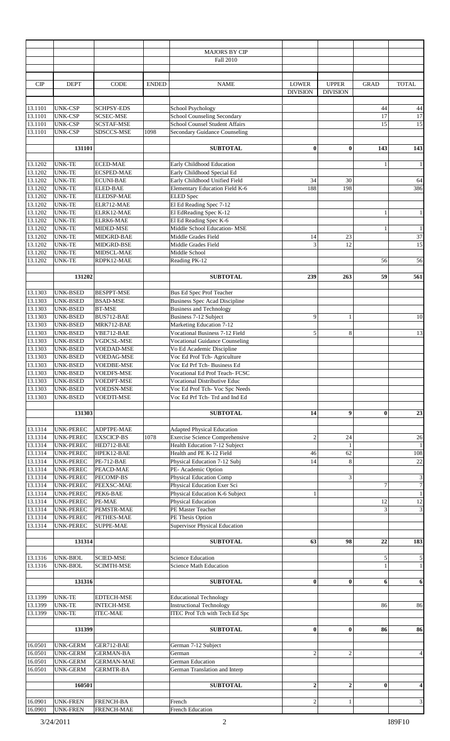|                                          |                                                                      |                                                            |              | <b>MAJORS BY CIP</b><br>Fall 2010                                                                                   |                                 |                                 |                      |                                     |
|------------------------------------------|----------------------------------------------------------------------|------------------------------------------------------------|--------------|---------------------------------------------------------------------------------------------------------------------|---------------------------------|---------------------------------|----------------------|-------------------------------------|
| CIP                                      | <b>DEPT</b>                                                          | <b>CODE</b>                                                | <b>ENDED</b> | <b>NAME</b>                                                                                                         | <b>LOWER</b><br><b>DIVISION</b> | <b>UPPER</b><br><b>DIVISION</b> | <b>GRAD</b>          | <b>TOTAL</b>                        |
| 13.1101<br>13.1101<br>13.1101<br>13.1101 | <b>UNK-CSP</b><br><b>UNK-CSP</b><br><b>UNK-CSP</b><br><b>UNK-CSP</b> | <b>SCHPSY-EDS</b><br>SCSEC-MSE<br>SCSTAF-MSE<br>SDSCCS-MSE | 1098         | School Psychology<br>School Counseling Secondary<br>School Counsel Student Affairs<br>Secondary Guidance Counseling |                                 |                                 | 44<br>17<br>15       | $44\,$<br>$17\,$<br>15              |
|                                          |                                                                      |                                                            |              |                                                                                                                     |                                 |                                 |                      |                                     |
|                                          | 131101                                                               |                                                            |              | <b>SUBTOTAL</b>                                                                                                     | $\bf{0}$                        | $\bf{0}$                        | 143                  | 143                                 |
| 13.1202<br>13.1202<br>13.1202            | <b>UNK-TE</b><br><b>UNK-TE</b><br><b>UNK-TE</b>                      | <b>ECED-MAE</b><br><b>ECSPED-MAE</b><br><b>ECUNI-BAE</b>   |              | Early Childhood Education<br>Early Childhood Special Ed<br>Early Childhood Unified Field                            | 34                              | 30                              | $\mathbf{1}$         | $\mathbf{1}$<br>64                  |
| 13.1202                                  | <b>UNK-TE</b>                                                        | <b>ELED-BAE</b>                                            |              | Elementary Education Field K-6                                                                                      | 188                             | 198                             |                      | 386                                 |
| 13.1202<br>13.1202                       | <b>UNK-TE</b><br><b>UNK-TE</b>                                       | ELEDSP-MAE<br>ELR712-MAE                                   |              | <b>ELED</b> Spec<br>El Ed Reading Spec 7-12                                                                         |                                 |                                 |                      |                                     |
| 13.1202                                  | <b>UNK-TE</b>                                                        | ELRK12-MAE                                                 |              | El EdReading Spec K-12                                                                                              |                                 |                                 | $\mathbf{1}$         | $\mathbf{1}$                        |
| 13.1202                                  | <b>UNK-TE</b>                                                        | ELRK6-MAE                                                  |              | El Ed Reading Spec K-6                                                                                              |                                 |                                 |                      |                                     |
| 13.1202<br>13.1202                       | <b>UNK-TE</b><br><b>UNK-TE</b>                                       | MIDED-MSE<br>MIDGRD-BAE                                    |              | Middle School Education- MSE<br>Middle Grades Field                                                                 | 14                              | 23                              | $\mathbf{1}$         | $\,1\,$<br>37                       |
| 13.1202                                  | <b>UNK-TE</b>                                                        | MIDGRD-BSE                                                 |              | Middle Grades Field                                                                                                 | 3                               | 12                              |                      | 15                                  |
| 13.1202                                  | <b>UNK-TE</b>                                                        | MIDSCL-MAE                                                 |              | Middle School                                                                                                       |                                 |                                 |                      |                                     |
| 13.1202                                  | <b>UNK-TE</b>                                                        | RDPK12-MAE                                                 |              | Reading PK-12                                                                                                       |                                 |                                 | 56                   | 56                                  |
|                                          | 131202                                                               |                                                            |              | <b>SUBTOTAL</b>                                                                                                     | 239                             | 263                             | 59                   | 561                                 |
| 13.1303                                  | <b>UNK-BSED</b>                                                      | <b>BESPPT-MSE</b>                                          |              | Bus Ed Spec Prof Teacher                                                                                            |                                 |                                 |                      |                                     |
| 13.1303<br>13.1303                       | UNK-BSED<br>UNK-BSED                                                 | <b>BSAD-MSE</b><br><b>BT-MSE</b>                           |              | <b>Business Spec Acad Discipline</b><br><b>Business and Technology</b>                                              |                                 |                                 |                      |                                     |
| 13.1303                                  | <b>UNK-BSED</b>                                                      | BUS712-BAE                                                 |              | <b>Business 7-12 Subject</b>                                                                                        | 9                               |                                 |                      | $10\,$                              |
| 13.1303                                  | <b>UNK-BSED</b>                                                      | MRK712-BAE                                                 |              | Marketing Education 7-12                                                                                            |                                 |                                 |                      |                                     |
| 13.1303                                  | UNK-BSED                                                             | VBE712-BAE                                                 |              | <b>Vocational Business 7-12 Field</b>                                                                               | 5                               | 8                               |                      | 13                                  |
| 13.1303                                  | UNK-BSED                                                             | VGDCSL-MSE                                                 |              | <b>Vocational Guidance Counseling</b>                                                                               |                                 |                                 |                      |                                     |
| 13.1303<br>13.1303                       | <b>UNK-BSED</b><br><b>UNK-BSED</b>                                   | <b>VOEDAD-MSE</b><br>VOEDAG-MSE                            |              | Vo Ed Academic Discipline<br>Voc Ed Prof Tch- Agriculture                                                           |                                 |                                 |                      |                                     |
| 13.1303                                  | <b>UNK-BSED</b>                                                      | <b>VOEDBE-MSE</b>                                          |              | Voc Ed Prf Tch-Business Ed                                                                                          |                                 |                                 |                      |                                     |
| 13.1303                                  | <b>UNK-BSED</b>                                                      | <b>VOEDFS-MSE</b>                                          |              | Vocational Ed Prof Teach- FCSC                                                                                      |                                 |                                 |                      |                                     |
| 13.1303                                  | UNK-BSED                                                             | VOEDPT-MSE                                                 |              | <b>Vocational Distributive Educ</b>                                                                                 |                                 |                                 |                      |                                     |
| 13.1303<br>13.1303                       | <b>UNK-BSED</b><br><b>UNK-BSED</b>                                   | <b>VOEDSN-MSE</b><br><b>VOEDTI-MSE</b>                     |              | Voc Ed Prof Tch- Voc Spc Needs<br>Voc Ed Prf Tch-Trd and Ind Ed                                                     |                                 |                                 |                      |                                     |
|                                          | 131303                                                               |                                                            |              | <b>SUBTOTAL</b>                                                                                                     | 14                              | 9                               | $\bf{0}$             | 23                                  |
| 13.1314                                  | <b>UNK-PEREC</b>                                                     | ADPTPE-MAE                                                 |              | <b>Adapted Physical Education</b>                                                                                   |                                 |                                 |                      |                                     |
| 13.1314                                  | UNK-PEREC                                                            | <b>EXSCICP-BS</b>                                          | 1078         | <b>Exercise Science Comprehensive</b>                                                                               | $\sqrt{2}$                      | 24                              |                      | 26                                  |
| 13.1314                                  | <b>UNK-PEREC</b>                                                     | HED712-BAE                                                 |              | Health Education 7-12 Subject                                                                                       |                                 | 1                               |                      | $\mathbf{1}$                        |
| 13.1314<br>13.1314                       | UNK-PEREC<br>UNK-PEREC                                               | HPEK12-BAE<br><b>PE-712-BAE</b>                            |              | Health and PE K-12 Field<br>Physical Education 7-12 Subj                                                            | 46<br>14                        | 62<br>8                         |                      | 108<br>$22\,$                       |
| 13.1314                                  | <b>UNK-PEREC</b>                                                     | PEACD-MAE                                                  |              | PE- Academic Option                                                                                                 |                                 |                                 |                      |                                     |
| 13.1314                                  | UNK-PEREC                                                            | PECOMP-BS                                                  |              | Physical Education Comp                                                                                             |                                 | 3                               |                      | $\mathfrak z$                       |
| 13.1314                                  | UNK-PEREC                                                            | PEEXSC-MAE                                                 |              | Physical Education Exer Sci                                                                                         |                                 |                                 | $\tau$               | $\overline{7}$                      |
| 13.1314                                  | <b>UNK-PEREC</b>                                                     | PEK6-BAE                                                   |              | Physical Education K-6 Subject                                                                                      | $\mathbf{1}$                    |                                 |                      | $\mathbf{1}$                        |
| 13.1314<br>13.1314                       | UNK-PEREC<br>UNK-PEREC                                               | PE-MAE<br>PEMSTR-MAE                                       |              | Physical Education<br>PE Master Teacher                                                                             |                                 |                                 | 12<br>$\overline{3}$ | $12\,$<br>$\ensuremath{\mathbf{3}}$ |
| 13.1314                                  | UNK-PEREC                                                            | PETHES-MAE                                                 |              | PE Thesis Option                                                                                                    |                                 |                                 |                      |                                     |
| 13.1314                                  | <b>UNK-PEREC</b>                                                     | SUPPE-MAE                                                  |              | <b>Supervisor Physical Education</b>                                                                                |                                 |                                 |                      |                                     |
|                                          |                                                                      |                                                            |              |                                                                                                                     |                                 |                                 |                      |                                     |
|                                          | 131314                                                               |                                                            |              | <b>SUBTOTAL</b>                                                                                                     | 63                              | 98                              | 22                   | 183                                 |
| 13.1316                                  | UNK-BIOL                                                             | <b>SCIED-MSE</b>                                           |              | Science Education                                                                                                   |                                 |                                 | 5                    | $\sqrt{5}$                          |
| 13.1316                                  | UNK-BIOL                                                             | SCIMTH-MSE                                                 |              | <b>Science Math Education</b>                                                                                       |                                 |                                 | $\mathbf{1}$         | $1\vert$                            |
|                                          | 131316                                                               |                                                            |              | <b>SUBTOTAL</b>                                                                                                     | $\bf{0}$                        | $\bf{0}$                        | 6                    | 6                                   |
|                                          |                                                                      |                                                            |              |                                                                                                                     |                                 |                                 |                      |                                     |
| 13.1399                                  | <b>UNK-TE</b>                                                        | <b>EDTECH-MSE</b>                                          |              | <b>Educational Technology</b>                                                                                       |                                 |                                 |                      |                                     |
| 13.1399                                  | <b>UNK-TE</b>                                                        | <b>INTECH-MSE</b>                                          |              | <b>Instructional Technology</b>                                                                                     |                                 |                                 | 86                   | 86                                  |
| 13.1399                                  | <b>UNK-TE</b>                                                        | <b>ITEC-MAE</b>                                            |              | ITEC Prof Tch with Tech Ed Spc                                                                                      |                                 |                                 |                      |                                     |
|                                          | 131399                                                               |                                                            |              | <b>SUBTOTAL</b>                                                                                                     | $\bf{0}$                        | $\bf{0}$                        | 86                   | 86                                  |
|                                          |                                                                      |                                                            |              |                                                                                                                     |                                 |                                 |                      |                                     |
| 16.0501                                  | <b>UNK-GERM</b>                                                      | GER712-BAE                                                 |              | German 7-12 Subject                                                                                                 |                                 |                                 |                      |                                     |
| 16.0501<br>16.0501                       | <b>UNK-GERM</b><br><b>UNK-GERM</b>                                   | <b>GERMAN-BA</b><br><b>GERMAN-MAE</b>                      |              | German<br>German Education                                                                                          | $\overline{c}$                  | $\mathfrak{2}$                  |                      | $\overline{4}$                      |
| 16.0501                                  | <b>UNK-GERM</b>                                                      | <b>GERMTR-BA</b>                                           |              | German Translation and Interp                                                                                       |                                 |                                 |                      |                                     |
|                                          |                                                                      |                                                            |              |                                                                                                                     |                                 |                                 |                      |                                     |
|                                          | 160501                                                               |                                                            |              | <b>SUBTOTAL</b>                                                                                                     | $\overline{\mathbf{c}}$         | $\boldsymbol{2}$                | $\bf{0}$             | $\overline{\mathbf{4}}$             |
|                                          |                                                                      |                                                            |              |                                                                                                                     |                                 |                                 |                      |                                     |
| 16.0901<br>16.0901                       | UNK-FREN<br><b>UNK-FREN</b>                                          | FRENCH-BA<br>FRENCH-MAE                                    |              | French<br>French Education                                                                                          | 2                               | 1                               |                      | 3                                   |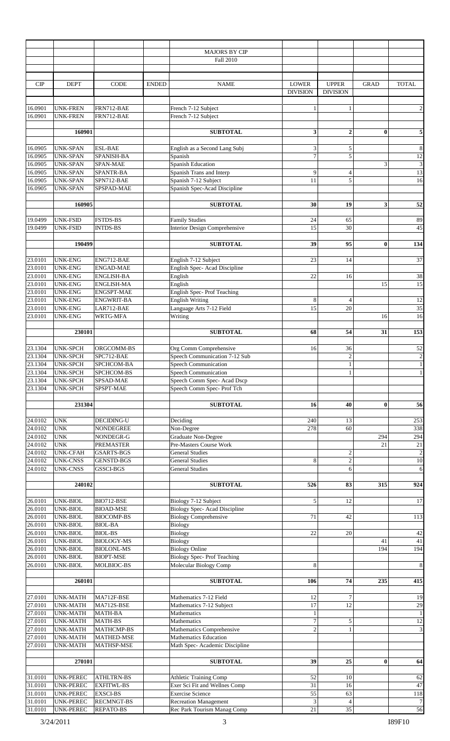|                    |                                      |                                       |              | <b>MAJORS BY CIP</b><br>Fall 2010                           |                                   |                                 |             |                                   |
|--------------------|--------------------------------------|---------------------------------------|--------------|-------------------------------------------------------------|-----------------------------------|---------------------------------|-------------|-----------------------------------|
|                    |                                      |                                       |              |                                                             |                                   |                                 |             |                                   |
| CIP                | <b>DEPT</b>                          | <b>CODE</b>                           | <b>ENDED</b> | <b>NAME</b>                                                 | <b>LOWER</b><br><b>DIVISION</b>   | <b>UPPER</b><br><b>DIVISION</b> | <b>GRAD</b> | <b>TOTAL</b>                      |
| 16.0901<br>16.0901 | <b>UNK-FREN</b><br><b>UNK-FREN</b>   | FRN712-BAE<br>FRN712-BAE              |              | French 7-12 Subject<br>French 7-12 Subject                  | 1                                 |                                 |             | $\sqrt{2}$                        |
|                    | 160901                               |                                       |              | <b>SUBTOTAL</b>                                             | 3                                 | $\overline{2}$                  | $\bf{0}$    | 5                                 |
|                    |                                      |                                       |              |                                                             |                                   |                                 |             |                                   |
| 16.0905            | <b>UNK-SPAN</b>                      | <b>ESL-BAE</b>                        |              | English as a Second Lang Subj                               | $\ensuremath{\mathbf{3}}$         | 5                               |             | $\,$ 8 $\,$                       |
| 16.0905            | <b>UNK-SPAN</b><br><b>UNK-SPAN</b>   | SPANISH-BA<br>SPAN-MAE                |              | Spanish<br><b>Spanish Education</b>                         | $\boldsymbol{7}$                  | 5                               |             | 12                                |
| 16.0905<br>16.0905 | <b>UNK-SPAN</b>                      | SPANTR-BA                             |              | Spanish Trans and Interp                                    | 9                                 | $\overline{4}$                  | 3           | $\mathfrak{Z}$<br>$\overline{13}$ |
| 16.0905            | <b>UNK-SPAN</b>                      | SPN712-BAE                            |              | Spanish 7-12 Subject                                        | 11                                | 5                               |             | 16                                |
| 16.0905            | <b>UNK-SPAN</b>                      | SPSPAD-MAE                            |              | Spanish Spec-Acad Discipline                                |                                   |                                 |             |                                   |
|                    |                                      |                                       |              |                                                             |                                   |                                 |             |                                   |
|                    | 160905                               |                                       |              | <b>SUBTOTAL</b>                                             | 30                                | 19                              | 3           | 52                                |
| 19.0499            | <b>UNK-FSID</b>                      | <b>FSTDS-BS</b>                       |              | <b>Family Studies</b>                                       | 24                                | 65                              |             | 89                                |
| 19.0499            | <b>UNK-FSID</b>                      | <b>INTDS-BS</b>                       |              | Interior Design Comprehensive                               | 15                                | 30                              |             | 45                                |
|                    | 190499                               |                                       |              | <b>SUBTOTAL</b>                                             | 39                                | 95                              | $\bf{0}$    | 134                               |
|                    |                                      |                                       |              |                                                             |                                   |                                 |             |                                   |
| 23.0101            | <b>UNK-ENG</b>                       | ENG712-BAE                            |              | English 7-12 Subject                                        | 23                                | 14                              |             | 37                                |
| 23.0101            | <b>UNK-ENG</b>                       | <b>ENGAD-MAE</b>                      |              | English Spec- Acad Discipline                               |                                   |                                 |             |                                   |
| 23.0101<br>23.0101 | <b>UNK-ENG</b><br><b>UNK-ENG</b>     | ENGLISH-BA<br><b>ENGLISH-MA</b>       |              | English<br>English                                          | 22                                | 16                              | 15          | 38<br>15                          |
| 23.0101            | <b>UNK-ENG</b>                       | <b>ENGSPT-MAE</b>                     |              | <b>English Spec-Prof Teaching</b>                           |                                   |                                 |             |                                   |
| 23.0101            | <b>UNK-ENG</b>                       | <b>ENGWRIT-BA</b>                     |              | <b>English Writing</b>                                      | $\,$ 8 $\,$                       | $\overline{4}$                  |             | $\overline{12}$                   |
| 23.0101            | <b>UNK-ENG</b>                       | LAR712-BAE                            |              | Language Arts 7-12 Field                                    | 15                                | 20                              |             | 35                                |
| 23.0101            | <b>UNK-ENG</b>                       | WRTG-MFA                              |              | Writing                                                     |                                   |                                 | 16          | 16                                |
|                    | 230101                               |                                       |              | <b>SUBTOTAL</b>                                             | 68                                | 54                              | 31          | 153                               |
|                    |                                      |                                       |              |                                                             |                                   |                                 |             |                                   |
| 23.1304            | <b>UNK-SPCH</b>                      | ORGCOMM-BS                            |              | Org Comm Comprehensive                                      | 16                                | 36                              |             | 52                                |
| 23.1304            | <b>UNK-SPCH</b>                      | SPC712-BAE                            |              | Speech Communication 7-12 Sub                               |                                   | $\overline{c}$                  |             | $\boldsymbol{2}$                  |
| 23.1304<br>23.1304 | <b>UNK-SPCH</b><br><b>UNK-SPCH</b>   | SPCHCOM-BA<br>SPCHCOM-BS              |              | Speech Communication<br>Speech Communication                |                                   | 1<br>1                          |             | $\,1$<br>$\frac{1}{2}$            |
| 23.1304            | <b>UNK-SPCH</b>                      | SPSAD-MAE                             |              | Speech Comm Spec-Acad Dscp                                  |                                   |                                 |             |                                   |
| 23.1304            | <b>UNK-SPCH</b>                      | SPSPT-MAE                             |              | Speech Comm Spec- Prof Tch                                  |                                   |                                 |             |                                   |
|                    |                                      |                                       |              |                                                             |                                   |                                 |             |                                   |
|                    | 231304                               |                                       |              | <b>SUBTOTAL</b>                                             | 16                                | 40                              | $\bf{0}$    | 56                                |
| 24.0102            | <b>UNK</b>                           | DECIDING-U                            |              | Deciding                                                    | 240                               | 13                              |             | 253                               |
| 24.0102            | <b>UNK</b>                           | NONDEGREE                             |              | Non-Degree                                                  | 278                               | 60                              |             | 338                               |
| 24.0102            | <b>UNK</b>                           | NONDEGR-G                             |              | <b>Graduate Non-Degree</b>                                  |                                   |                                 | 294         | 294                               |
| 24.0102<br>24.0102 | <b>UNK</b><br><b>UNK-CFAH</b>        | <b>PREMASTER</b><br><b>GSARTS-BGS</b> |              | Pre-Masters Course Work<br><b>General Studies</b>           |                                   | $\overline{2}$                  | 21          | $\overline{21}$<br>$\sqrt{2}$     |
| 24.0102            | <b>UNK-CNSS</b>                      | <b>GENSTD-BGS</b>                     |              | <b>General Studies</b>                                      | 8                                 | $\overline{c}$                  |             | 10                                |
| 24.0102            | <b>UNK-CNSS</b>                      | GSSCI-BGS                             |              | <b>General Studies</b>                                      |                                   | 6                               |             | 6                                 |
|                    | 240102                               |                                       |              | <b>SUBTOTAL</b>                                             | 526                               | 83                              | 315         | 924                               |
|                    |                                      |                                       |              |                                                             |                                   |                                 |             |                                   |
| 26.0101            | <b>UNK-BIOL</b>                      | BIO712-BSE                            |              | Biology 7-12 Subject                                        | 5                                 | 12                              |             | 17                                |
| 26.0101            | <b>UNK-BIOL</b>                      | <b>BIOAD-MSE</b>                      |              | <b>Biology Spec-Acad Discipline</b>                         |                                   |                                 |             |                                   |
| 26.0101<br>26.0101 | UNK-BIOL<br><b>UNK-BIOL</b>          | <b>BIOCOMP-BS</b><br><b>BIOL-BA</b>   |              | <b>Biology Comprehensive</b><br>Biology                     | 71                                | 42                              |             | 113                               |
| 26.0101            | UNK-BIOL                             | <b>BIOL-BS</b>                        |              | Biology                                                     | 22                                | 20                              |             | 42                                |
| 26.0101            | UNK-BIOL                             | <b>BIOLOGY-MS</b>                     |              | <b>Biology</b>                                              |                                   |                                 | 41          | $41\,$                            |
| 26.0101            | UNK-BIOL                             | <b>BIOLONL-MS</b>                     |              | <b>Biology Online</b>                                       |                                   |                                 | 194         | 194                               |
| 26.0101<br>26.0101 | UNK-BIOL<br>UNK-BIOL                 | <b>BIOPT-MSE</b><br>MOLBIOC-BS        |              | <b>Biology Spec-Prof Teaching</b><br>Molecular Biology Comp | $\,8\,$                           |                                 |             | $\,$ 8 $\,$                       |
|                    |                                      |                                       |              |                                                             |                                   |                                 |             |                                   |
|                    | 260101                               |                                       |              | <b>SUBTOTAL</b>                                             | 106                               | 74                              | 235         | 415                               |
| 27.0101            | <b>UNK-MATH</b>                      | MA712F-BSE                            |              | Mathematics 7-12 Field                                      | 12                                | $\overline{7}$                  |             | 19                                |
| 27.0101            | <b>UNK-MATH</b>                      | MA712S-BSE                            |              | Mathematics 7-12 Subject                                    | 17                                | 12                              |             | 29                                |
| 27.0101            | <b>UNK-MATH</b>                      | MATH-BA                               |              | Mathematics                                                 | $\mathbf{1}$<br>$\boldsymbol{7}$  |                                 |             | $\mathbf{1}$<br>12                |
| 27.0101<br>27.0101 | <b>UNK-MATH</b><br><b>UNK-MATH</b>   | MATH-BS<br>MATHCMP-BS                 |              | Mathematics<br>Mathematics Comprehensive                    | $\overline{2}$                    | 5<br>$\mathbf{1}$               |             | $\overline{\mathbf{3}}$           |
| 27.0101            | <b>UNK-MATH</b>                      | MATHED-MSE                            |              | <b>Mathematics Education</b>                                |                                   |                                 |             |                                   |
| 27.0101            | <b>UNK-MATH</b>                      | MATHSP-MSE                            |              | Math Spec- Academic Discipline                              |                                   |                                 |             |                                   |
|                    | 270101                               |                                       |              | <b>SUBTOTAL</b>                                             | 39                                | 25                              | $\bf{0}$    | 64                                |
|                    |                                      |                                       |              |                                                             |                                   |                                 |             |                                   |
| 31.0101            | <b>UNK-PEREC</b>                     | ATHLTRN-BS                            |              | Athletic Training Comp                                      | 52                                | 10                              |             | 62                                |
| 31.0101            | UNK-PEREC                            | <b>EXFITWL-BS</b>                     |              | Exer Sci Fit and Wellnes Comp                               | 31                                | 16                              |             | 47                                |
| 31.0101<br>31.0101 | <b>UNK-PEREC</b><br><b>UNK-PEREC</b> | <b>EXSCI-BS</b><br><b>RECMNGT-BS</b>  |              | <b>Exercise Science</b><br><b>Recreation Management</b>     | 55<br>$\ensuremath{\mathfrak{Z}}$ | 63<br>$\overline{4}$            |             | 118<br>$\overline{7}$             |
| 31.0101            | <b>UNK-PEREC</b>                     | REPATO-BS                             |              | Rec Park Tourism Manag Comp                                 | $\overline{21}$                   | $\overline{35}$                 |             | 56                                |
|                    |                                      |                                       |              |                                                             |                                   |                                 |             |                                   |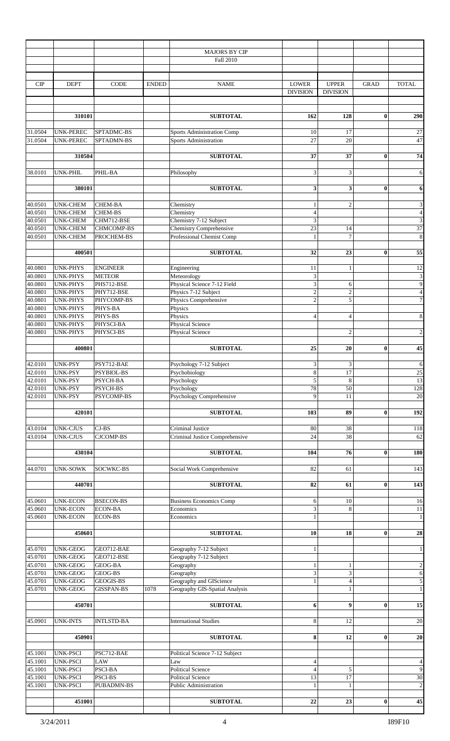|                    |                  |                   |              | <b>MAJORS BY CIP</b>           |                                 |                  |             |                             |
|--------------------|------------------|-------------------|--------------|--------------------------------|---------------------------------|------------------|-------------|-----------------------------|
|                    |                  |                   |              | Fall 2010                      |                                 |                  |             |                             |
|                    |                  |                   |              |                                |                                 |                  |             |                             |
|                    |                  |                   |              |                                |                                 |                  |             |                             |
| CIP                | <b>DEPT</b>      | CODE              | <b>ENDED</b> | <b>NAME</b>                    | <b>LOWER</b>                    | <b>UPPER</b>     | <b>GRAD</b> | <b>TOTAL</b>                |
|                    |                  |                   |              |                                | <b>DIVISION</b>                 | <b>DIVISION</b>  |             |                             |
|                    |                  |                   |              |                                |                                 |                  |             |                             |
|                    | 310101           |                   |              | <b>SUBTOTAL</b>                | 162                             | 128              | $\bf{0}$    | 290                         |
|                    |                  |                   |              |                                |                                 |                  |             |                             |
| 31.0504            | <b>UNK-PEREC</b> | SPTADMC-BS        |              | Sports Administration Comp     | 10                              | 17               |             | 27                          |
| 31.0504            | <b>UNK-PEREC</b> | SPTADMN-BS        |              | Sports Administration          | 27                              | 20               |             | 47                          |
|                    |                  |                   |              |                                |                                 |                  |             |                             |
|                    | 310504           |                   |              | <b>SUBTOTAL</b>                | 37                              | 37               | $\bf{0}$    | 74                          |
|                    |                  |                   |              |                                |                                 |                  |             |                             |
| 38.0101            | UNK-PHIL         | PHIL-BA           |              | Philosophy                     | $\mathfrak{Z}$                  | $\mathfrak{Z}$   |             | 6                           |
|                    |                  |                   |              |                                |                                 |                  |             |                             |
|                    | 380101           |                   |              | <b>SUBTOTAL</b>                | 3                               | 3                | $\bf{0}$    | 6                           |
|                    |                  |                   |              |                                |                                 |                  |             |                             |
| 40.0501            | <b>UNK-CHEM</b>  | <b>CHEM-BA</b>    |              | Chemistry                      | $\mathbf{1}$                    | $\mathbf{2}$     |             | $\ensuremath{\mathfrak{Z}}$ |
| 40.0501            | <b>UNK-CHEM</b>  | CHEM-BS           |              | Chemistry                      | $\overline{4}$                  |                  |             | $\overline{4}$              |
| 40.0501            | <b>UNK-CHEM</b>  | CHM712-BSE        |              | Chemistry 7-12 Subject         | 3                               |                  |             | $\overline{3}$              |
| 40.0501            | <b>UNK-CHEM</b>  | CHMCOMP-BS        |              | <b>Chemistry Comprehensive</b> | 23                              | 14               |             | 37                          |
| 40.0501            | <b>UNK-CHEM</b>  | PROCHEM-BS        |              | Professional Chemist Comp      | $\mathbf{1}$                    | $\overline{7}$   |             | $\bf 8$                     |
|                    |                  |                   |              |                                |                                 |                  |             |                             |
|                    | 400501           |                   |              | <b>SUBTOTAL</b>                | 32                              | 23               | $\bf{0}$    | 55                          |
|                    | <b>UNK-PHYS</b>  | <b>ENGINEER</b>   |              |                                |                                 |                  |             |                             |
| 40.0801<br>40.0801 | <b>UNK-PHYS</b>  | <b>METEOR</b>     |              | Engineering<br>Meteorology     | 11<br>$\ensuremath{\mathbf{3}}$ | 1                |             | 12<br>$\overline{3}$        |
| 40.0801            | <b>UNK-PHYS</b>  | PHS712-BSE        |              | Physical Science 7-12 Field    | $\overline{\mathbf{3}}$         | 6                |             | $\overline{9}$              |
| 40.0801            | <b>UNK-PHYS</b>  | PHY712-BSE        |              | Physics 7-12 Subject           | $\sqrt{2}$                      | $\overline{2}$   |             | $\overline{4}$              |
| 40.0801            | <b>UNK-PHYS</b>  | PHYCOMP-BS        |              | Physics Comprehensive          | $\overline{c}$                  | 5                |             | $\overline{7}$              |
| 40.0801            | <b>UNK-PHYS</b>  | PHYS-BA           |              | Physics                        |                                 |                  |             |                             |
| 40.0801            | <b>UNK-PHYS</b>  | PHYS-BS           |              | Physics                        | $\overline{4}$                  | 4                |             | $\,$ 8 $\,$                 |
| 40.0801            | <b>UNK-PHYS</b>  | PHYSCI-BA         |              | Physical Science               |                                 |                  |             |                             |
| 40.0801            | <b>UNK-PHYS</b>  | PHYSCI-BS         |              | <b>Physical Science</b>        |                                 | $\overline{2}$   |             | $\sqrt{2}$                  |
|                    |                  |                   |              |                                |                                 |                  |             |                             |
|                    | 400801           |                   |              | <b>SUBTOTAL</b>                | 25                              | 20               | $\bf{0}$    | 45                          |
|                    |                  |                   |              |                                |                                 |                  |             |                             |
| 42.0101            | UNK-PSY          | PSY712-BAE        |              | Psychology 7-12 Subject        | $\mathfrak{Z}$                  | $\mathfrak{Z}$   |             | 6                           |
| 42.0101            | <b>UNK-PSY</b>   | PSYBIOL-BS        |              | Psychobiology                  | $\,8\,$                         | 17               |             | $25\,$                      |
| 42.0101            | <b>UNK-PSY</b>   | PSYCH-BA          |              | Psychology                     | 5                               | $\,8\,$          |             | 13                          |
| 42.0101            | UNK-PSY          | PSYCH-BS          |              | Psychology                     | 78                              | 50               |             | 128                         |
| 42.0101            | <b>UNK-PSY</b>   | PSYCOMP-BS        |              | Psychology Comprehensive       | 9                               | 11               |             | 20                          |
|                    |                  |                   |              |                                |                                 |                  |             |                             |
|                    | 420101           |                   |              | <b>SUBTOTAL</b>                | 103                             | 89               | $\bf{0}$    | 192                         |
|                    |                  |                   |              |                                |                                 |                  |             |                             |
| 43.0104            | <b>UNK-CJUS</b>  | $CJ-BS$           |              | Criminal Justice               | 80                              | 38               |             | 118                         |
| 43.0104            | <b>UNK-CJUS</b>  | CJCOMP-BS         |              | Criminal Justice Comprehensive | 24                              | 38               |             | 62                          |
|                    |                  |                   |              | <b>SUBTOTAL</b>                | 104                             | 76               | $\bf{0}$    |                             |
|                    | 430104           |                   |              |                                |                                 |                  |             | <b>180</b>                  |
| 44.0701            | <b>UNK-SOWK</b>  | <b>SOCWKC-BS</b>  |              | Social Work Comprehensive      | 82                              | 61               |             | 143                         |
|                    |                  |                   |              |                                |                                 |                  |             |                             |
|                    | 440701           |                   |              | <b>SUBTOTAL</b>                | 82                              | 61               | $\bf{0}$    | 143                         |
|                    |                  |                   |              |                                |                                 |                  |             |                             |
| 45.0601            | <b>UNK-ECON</b>  | <b>BSECON-BS</b>  |              | <b>Business Economics Comp</b> | 6                               | 10               |             | 16                          |
| 45.0601            | <b>UNK-ECON</b>  | <b>ECON-BA</b>    |              | Economics                      | $\ensuremath{\mathfrak{Z}}$     | 8                |             | 11                          |
| 45.0601            | <b>UNK-ECON</b>  | <b>ECON-BS</b>    |              | Economics                      | $\mathbf{1}$                    |                  |             | 1                           |
|                    |                  |                   |              |                                |                                 |                  |             |                             |
|                    | 450601           |                   |              | <b>SUBTOTAL</b>                | 10                              | 18               | $\bf{0}$    | 28                          |
|                    |                  |                   |              |                                |                                 |                  |             |                             |
| 45.0701            | <b>UNK-GEOG</b>  | GEO712-BAE        |              | Geography 7-12 Subject         | $\mathbf{1}$                    |                  |             | $\mathbf{1}$                |
| 45.0701            | <b>UNK-GEOG</b>  | GEO712-BSE        |              | Geography 7-12 Subject         |                                 |                  |             |                             |
| 45.0701            | <b>UNK-GEOG</b>  | GEOG-BA           |              | Geography                      | $\mathbf{1}$                    | 1                |             | $\boldsymbol{2}$            |
| 45.0701            | <b>UNK-GEOG</b>  | GEOG-BS           |              | Geography                      | $\overline{\mathbf{3}}$         | 3                |             | $\overline{6}$              |
| 45.0701            | <b>UNK-GEOG</b>  | <b>GEOGIS-BS</b>  |              | Geography and GIScience        | $\mathbf{1}$                    | $\overline{4}$   |             | $\sqrt{5}$                  |
| 45.0701            | <b>UNK-GEOG</b>  | <b>GISSPAN-BS</b> | 1078         | Geography GIS-Spatial Analysis |                                 | $\mathbf{1}$     |             | $\mathbf 1$                 |
|                    |                  |                   |              |                                |                                 | $\boldsymbol{9}$ |             |                             |
|                    | 450701           |                   |              | <b>SUBTOTAL</b>                | 6                               |                  | $\bf{0}$    | 15                          |
| 45.0901            | <b>UNK-INTS</b>  | <b>INTLSTD-BA</b> |              | <b>International Studies</b>   | 8                               | 12               |             | 20                          |
|                    |                  |                   |              |                                |                                 |                  |             |                             |
|                    | 450901           |                   |              | <b>SUBTOTAL</b>                | 8                               | 12               | $\bf{0}$    | 20                          |
|                    |                  |                   |              |                                |                                 |                  |             |                             |
| 45.1001            | <b>UNK-PSCI</b>  | PSC712-BAE        |              | Political Science 7-12 Subject |                                 |                  |             |                             |
| 45.1001            | <b>UNK-PSCI</b>  | <b>LAW</b>        |              | Law                            | $\overline{4}$                  |                  |             | $\overline{\mathcal{A}}$    |
| 45.1001            | <b>UNK-PSCI</b>  | PSCI-BA           |              | <b>Political Science</b>       | $\overline{4}$                  | $\sqrt{5}$       |             | $\overline{9}$              |
| 45.1001            | <b>UNK-PSCI</b>  | PSCI-BS           |              | <b>Political Science</b>       | 13                              | 17               |             | 30                          |
| 45.1001            | <b>UNK-PSCI</b>  | <b>PUBADMN-BS</b> |              | Public Administration          | $\mathbf{1}$                    | 1                |             | $\overline{c}$              |
|                    |                  |                   |              |                                |                                 |                  |             |                             |
|                    | 451001           |                   |              | <b>SUBTOTAL</b>                | 22                              | 23               | v           | 45                          |
|                    |                  |                   |              |                                |                                 |                  |             |                             |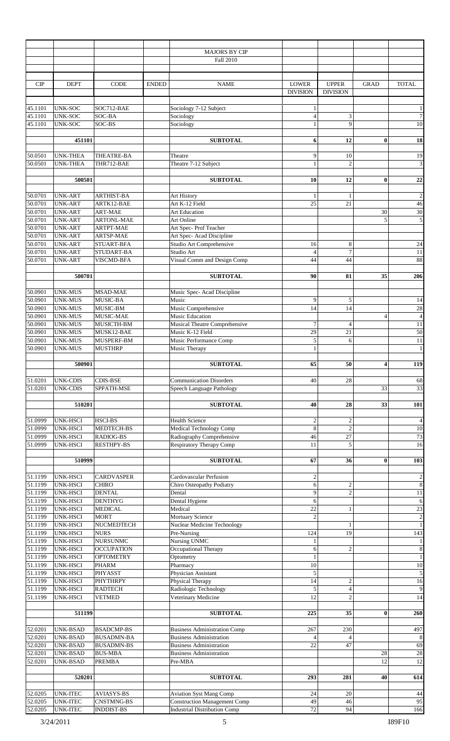|                    |                                    |                                   |              | <b>MAJORS BY CIP</b>                                                  |                                 |                                 |                |                          |
|--------------------|------------------------------------|-----------------------------------|--------------|-----------------------------------------------------------------------|---------------------------------|---------------------------------|----------------|--------------------------|
|                    |                                    |                                   |              | Fall 2010                                                             |                                 |                                 |                |                          |
|                    |                                    |                                   |              |                                                                       |                                 |                                 |                |                          |
| CIP                | <b>DEPT</b>                        | <b>CODE</b>                       | <b>ENDED</b> | <b>NAME</b>                                                           | <b>LOWER</b><br><b>DIVISION</b> | <b>UPPER</b><br><b>DIVISION</b> | <b>GRAD</b>    | <b>TOTAL</b>             |
| 45.1101            | <b>UNK-SOC</b>                     | SOC712-BAE                        |              | Sociology 7-12 Subject                                                | $\mathbf{1}$                    |                                 |                | $\mathbf{1}$             |
| 45.1101            | UNK-SOC                            | SOC-BA                            |              | Sociology                                                             | $\overline{4}$                  | 3                               |                | $\boldsymbol{7}$         |
| 45.1101            | <b>UNK-SOC</b>                     | SOC-BS                            |              | Sociology                                                             | $\mathbf{1}$                    | 9                               |                | $10\,$                   |
|                    | 451101                             |                                   |              | <b>SUBTOTAL</b>                                                       | 6                               | 12                              | $\bf{0}$       | 18                       |
| 50.0501            | <b>UNK-THEA</b>                    | THEATRE-BA                        |              | Theatre                                                               | 9                               | 10                              |                | 19                       |
| 50.0501            | <b>UNK-THEA</b>                    | THR712-BAE                        |              | Theatre 7-12 Subject                                                  | $\mathbf{1}$                    | $\overline{c}$                  |                | 3                        |
|                    | 500501                             |                                   |              | <b>SUBTOTAL</b>                                                       | 10                              | 12                              | $\bf{0}$       | $22\,$                   |
|                    |                                    |                                   |              |                                                                       |                                 |                                 |                |                          |
| 50.0701<br>50.0701 | <b>UNK-ART</b><br><b>UNK-ART</b>   | <b>ARTHIST-BA</b><br>ARTK12-BAE   |              | Art History<br>Art K-12 Field                                         | $\mathbf{1}$<br>25              | $\mathbf{1}$<br>21              |                | $\sqrt{2}$<br>46         |
| 50.0701            | <b>UNK-ART</b>                     | ART-MAE                           |              | <b>Art Education</b>                                                  |                                 |                                 | 30             | 30                       |
| 50.0701            | <b>UNK-ART</b>                     | <b>ARTONL-MAE</b>                 |              | Art Online                                                            |                                 |                                 | 5              | $\overline{5}$           |
| 50.0701            | <b>UNK-ART</b>                     | <b>ARTPT-MAE</b>                  |              | Art Spec- Prof Teacher                                                |                                 |                                 |                |                          |
| 50.0701            | <b>UNK-ART</b>                     | ARTSP-MAE                         |              | Art Spec-Acad Discipline                                              |                                 |                                 |                |                          |
| 50.0701            | <b>UNK-ART</b>                     | STUART-BFA                        |              | Studio Art Comprehensive                                              | 16                              | 8                               |                | 24                       |
| 50.0701            | <b>UNK-ART</b>                     | STUDART-BA                        |              | Studio Art                                                            | $\overline{4}$                  | $\tau$                          |                | $11\,$                   |
| 50.0701            | <b>UNK-ART</b>                     | VISCMD-BFA                        |              | Visual Comm and Design Comp                                           | 44                              | 44                              |                | 88                       |
|                    | 500701                             |                                   |              | <b>SUBTOTAL</b>                                                       | 90                              | 81                              | 35             | 206                      |
| 50.0901            | <b>UNK-MUS</b>                     | MSAD-MAE                          |              | Music Spec- Acad Discipline                                           |                                 |                                 |                |                          |
| 50.0901            | <b>UNK-MUS</b>                     | MUSIC-BA                          |              | Music                                                                 | 9                               | 5                               |                | 14                       |
| 50.0901            | <b>UNK-MUS</b>                     | MUSIC-BM                          |              | Music Comprehensive                                                   | 14                              | 14                              |                | 28                       |
| 50.0901            | <b>UNK-MUS</b>                     | MUSIC-MAE                         |              | Music Education                                                       |                                 |                                 | $\overline{4}$ | $\overline{\mathcal{L}}$ |
| 50.0901            | <b>UNK-MUS</b>                     | MUSICTH-BM                        |              | Musical Theatre Comprehensive                                         | $\overline{7}$                  | 4                               |                | 11                       |
| 50.0901            | <b>UNK-MUS</b>                     | MUSK12-BAE                        |              | Music K-12 Field                                                      | 29                              | 21                              |                | 50                       |
| 50.0901<br>50.0901 | <b>UNK-MUS</b><br><b>UNK-MUS</b>   | MUSPERF-BM<br><b>MUSTHRP</b>      |              | Music Performance Comp<br>Music Therapy                               | 5<br>$\mathbf{1}$               | 6                               |                | 11<br>$\mathbf{1}$       |
|                    |                                    |                                   |              |                                                                       |                                 |                                 |                |                          |
|                    | 500901                             |                                   |              | <b>SUBTOTAL</b>                                                       | 65                              | 50                              | 4              | 119                      |
|                    |                                    |                                   |              |                                                                       |                                 |                                 |                |                          |
| 51.0201<br>51.0201 | <b>UNK-CDIS</b><br><b>UNK-CDIS</b> | <b>CDIS-BSE</b><br>SPPATH-MSE     |              | <b>Communication Disorders</b>                                        | 40                              | 28                              | 33             | 68                       |
|                    |                                    |                                   |              | Speech Language Pathology                                             |                                 |                                 |                | 33                       |
|                    | 510201                             |                                   |              | <b>SUBTOTAL</b>                                                       | 40                              | 28                              | 33             | 101                      |
|                    |                                    |                                   |              |                                                                       |                                 |                                 |                |                          |
| 51.0999            | UNK-HSCI<br><b>UNK-HSCI</b>        | <b>HSCI-BS</b>                    |              | <b>Health Science</b><br>Medical Technology Comp                      | $\overline{2}$<br>8             | $\mathbf{2}$<br>$\overline{c}$  |                | $\overline{4}$<br>$10\,$ |
| 51.0999<br>51.0999 | UNK-HSCI                           | MEDTECH-BS<br>RADIOG-BS           |              | Radiography Comprehensive                                             | 46                              | 27                              |                | 73                       |
| 51.0999            | <b>UNK-HSCI</b>                    | <b>RESTHPY-BS</b>                 |              | <b>Respiratory Therapy Comp</b>                                       | 11                              | 5                               |                | 16                       |
|                    |                                    |                                   |              |                                                                       |                                 |                                 |                |                          |
|                    | 510999                             |                                   |              | <b>SUBTOTAL</b>                                                       | 67                              | 36                              | $\bf{0}$       | 103                      |
| 51.1199            | UNK-HSCI                           | <b>CARDVASPER</b>                 |              | Cardovascular Perfusion                                               | $\boldsymbol{2}$                |                                 |                | $\boldsymbol{2}$         |
| 51.1199            | <b>UNK-HSCI</b>                    | <b>CHIRO</b>                      |              | Chiro Osteopathy Podiatry                                             | 6                               | $\mathfrak{2}$                  |                | $\bf 8$                  |
| 51.1199            | UNK-HSCI                           | <b>DENTAL</b>                     |              | Dental                                                                | 9                               | $\overline{c}$                  |                | $11\,$                   |
| 51.1199            | UNK-HSCI                           | <b>DENTHYG</b>                    |              | Dental Hygiene                                                        | 6                               |                                 |                | $\sqrt{6}$               |
| 51.1199            | UNK-HSCI                           | <b>MEDICAL</b>                    |              | Medical                                                               | 22                              |                                 |                | 23                       |
| 51.1199            | UNK-HSCI                           | <b>MORT</b>                       |              | <b>Mortuary Science</b>                                               | $\overline{2}$                  |                                 |                | $\sqrt{2}$               |
| 51.1199<br>51.1199 | UNK-HSCI<br>UNK-HSCI               | NUCMEDTECH<br><b>NURS</b>         |              | Nuclear Medicine Technology<br>Pre-Nursing                            | 124                             | 19                              |                | $1\,$<br>143             |
| 51.1199            | <b>UNK-HSCI</b>                    | <b>NURSUNMC</b>                   |              | Nursing UNMC                                                          | $\mathbf{1}$                    |                                 |                | $\mathbf{1}$             |
| 51.1199            | <b>UNK-HSCI</b>                    | <b>OCCUPATION</b>                 |              | Occupational Therapy                                                  | 6                               | $\overline{c}$                  |                | $\,$ 8 $\,$              |
| 51.1199            | <b>UNK-HSCI</b>                    | <b>OPTOMETRY</b>                  |              | Optometry                                                             | $\mathbf{1}$                    |                                 |                | $\mathbf{1}$             |
| 51.1199            | UNK-HSCI                           | <b>PHARM</b>                      |              | Pharmacy                                                              | 10                              |                                 |                | $10\,$                   |
| 51.1199            | <b>UNK-HSCI</b>                    | PHYASST                           |              | Physician Assistant                                                   | 5                               |                                 |                | $\overline{5}$           |
| 51.1199<br>51.1199 | UNK-HSCI<br>UNK-HSCI               | <b>PHYTHRPY</b><br><b>RADTECH</b> |              | Physical Therapy<br>Radiologic Technology                             | 14<br>5                         | $\mathbf{2}$<br>$\overline{4}$  |                | 16<br>$\boldsymbol{9}$   |
| 51.1199            | UNK-HSCI                           | <b>VETMED</b>                     |              | Veterinary Medicine                                                   | 12                              | $\overline{c}$                  |                | 14                       |
|                    |                                    |                                   |              |                                                                       |                                 |                                 |                |                          |
|                    | 511199                             |                                   |              | <b>SUBTOTAL</b>                                                       | 225                             | 35                              | $\bf{0}$       | 260                      |
|                    |                                    | <b>BSADCMP-BS</b>                 |              |                                                                       | 267                             |                                 |                | 497                      |
| 52.0201<br>52.0201 | UNK-BSAD<br>UNK-BSAD               | <b>BUSADMN-BA</b>                 |              | <b>Business Administration Comp</b><br><b>Business Administration</b> | $\overline{4}$                  | 230<br>4                        |                | $\,$ 8 $\,$              |
| 52.0201            | UNK-BSAD                           | <b>BUSADMN-BS</b>                 |              | <b>Business Administration</b>                                        | 22                              | 47                              |                | 69                       |
| 52.0201            | <b>UNK-BSAD</b>                    | <b>BUS-MBA</b>                    |              | <b>Business Administration</b>                                        |                                 |                                 | 28             | $28\,$                   |
| 52.0201            | <b>UNK-BSAD</b>                    | <b>PREMBA</b>                     |              | Pre-MBA                                                               |                                 |                                 | 12             | 12                       |
|                    |                                    |                                   |              |                                                                       |                                 |                                 |                |                          |
|                    | 520201                             |                                   |              | <b>SUBTOTAL</b>                                                       | 293                             | 281                             | 40             | 614                      |
| 52.0205            | <b>UNK-ITEC</b>                    | <b>AVIASYS-BS</b>                 |              | <b>Aviation Syst Mang Comp</b>                                        | 24                              | 20                              |                | $44$                     |
| 52.0205            | <b>UNK-ITEC</b>                    | <b>CNSTMNG-BS</b>                 |              | <b>Construction Management Comp</b>                                   | 49                              | 46                              |                | 95                       |
| 52.0205            | <b>UNK-ITEC</b>                    | <b>INDDIST-BS</b>                 |              | <b>Industrial Distribution Comp</b>                                   | 72                              | 94                              |                | 166                      |